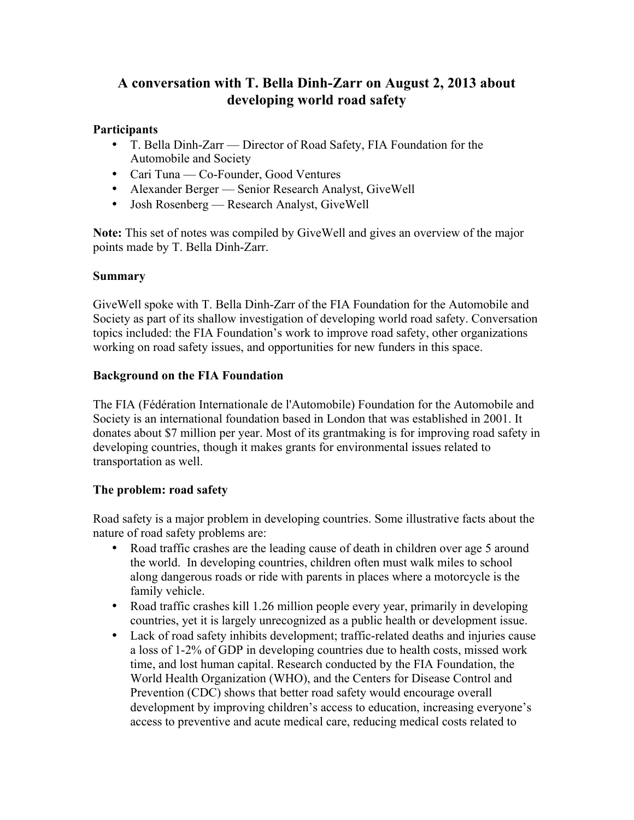# **A conversation with T. Bella Dinh-Zarr on August 2, 2013 about developing world road safety**

## **Participants**

- T. Bella Dinh-Zarr Director of Road Safety, FIA Foundation for the Automobile and Society
- Cari Tuna Co-Founder, Good Ventures
- Alexander Berger Senior Research Analyst, GiveWell
- Josh Rosenberg Research Analyst, GiveWell

**Note:** This set of notes was compiled by GiveWell and gives an overview of the major points made by T. Bella Dinh-Zarr.

# **Summary**

GiveWell spoke with T. Bella Dinh-Zarr of the FIA Foundation for the Automobile and Society as part of its shallow investigation of developing world road safety. Conversation topics included: the FIA Foundation's work to improve road safety, other organizations working on road safety issues, and opportunities for new funders in this space.

# **Background on the FIA Foundation**

The FIA (Fédération Internationale de l'Automobile) Foundation for the Automobile and Society is an international foundation based in London that was established in 2001. It donates about \$7 million per year. Most of its grantmaking is for improving road safety in developing countries, though it makes grants for environmental issues related to transportation as well.

# **The problem: road safety**

Road safety is a major problem in developing countries. Some illustrative facts about the nature of road safety problems are:

- Road traffic crashes are the leading cause of death in children over age 5 around the world. In developing countries, children often must walk miles to school along dangerous roads or ride with parents in places where a motorcycle is the family vehicle.
- Road traffic crashes kill 1.26 million people every year, primarily in developing countries, yet it is largely unrecognized as a public health or development issue.
- Lack of road safety inhibits development; traffic-related deaths and injuries cause a loss of 1-2% of GDP in developing countries due to health costs, missed work time, and lost human capital. Research conducted by the FIA Foundation, the World Health Organization (WHO), and the Centers for Disease Control and Prevention (CDC) shows that better road safety would encourage overall development by improving children's access to education, increasing everyone's access to preventive and acute medical care, reducing medical costs related to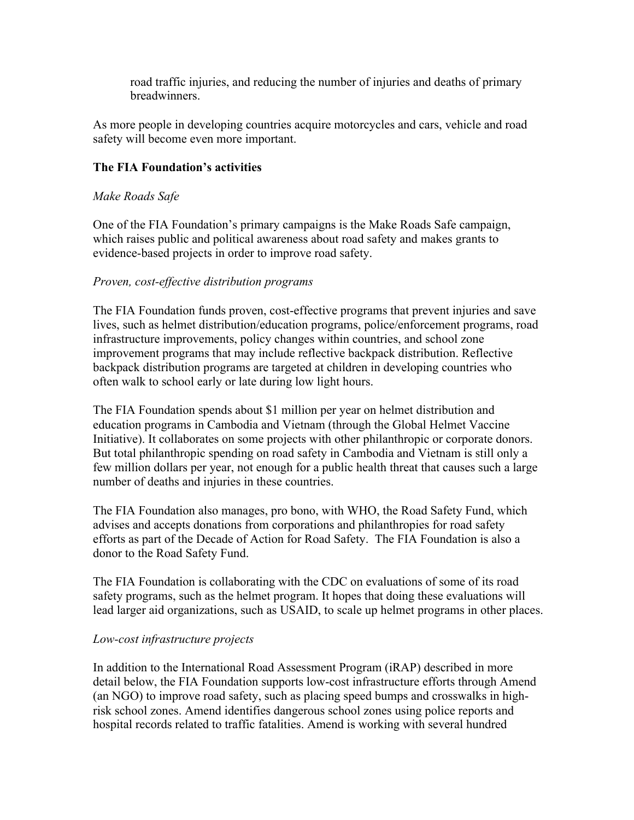road traffic injuries, and reducing the number of injuries and deaths of primary breadwinners.

As more people in developing countries acquire motorcycles and cars, vehicle and road safety will become even more important.

## **The FIA Foundation's activities**

#### *Make Roads Safe*

One of the FIA Foundation's primary campaigns is the Make Roads Safe campaign, which raises public and political awareness about road safety and makes grants to evidence-based projects in order to improve road safety.

#### *Proven, cost-effective distribution programs*

The FIA Foundation funds proven, cost-effective programs that prevent injuries and save lives, such as helmet distribution/education programs, police/enforcement programs, road infrastructure improvements, policy changes within countries, and school zone improvement programs that may include reflective backpack distribution. Reflective backpack distribution programs are targeted at children in developing countries who often walk to school early or late during low light hours.

The FIA Foundation spends about \$1 million per year on helmet distribution and education programs in Cambodia and Vietnam (through the Global Helmet Vaccine Initiative). It collaborates on some projects with other philanthropic or corporate donors. But total philanthropic spending on road safety in Cambodia and Vietnam is still only a few million dollars per year, not enough for a public health threat that causes such a large number of deaths and injuries in these countries.

The FIA Foundation also manages, pro bono, with WHO, the Road Safety Fund, which advises and accepts donations from corporations and philanthropies for road safety efforts as part of the Decade of Action for Road Safety. The FIA Foundation is also a donor to the Road Safety Fund.

The FIA Foundation is collaborating with the CDC on evaluations of some of its road safety programs, such as the helmet program. It hopes that doing these evaluations will lead larger aid organizations, such as USAID, to scale up helmet programs in other places.

#### *Low-cost infrastructure projects*

In addition to the International Road Assessment Program (iRAP) described in more detail below, the FIA Foundation supports low-cost infrastructure efforts through Amend (an NGO) to improve road safety, such as placing speed bumps and crosswalks in highrisk school zones. Amend identifies dangerous school zones using police reports and hospital records related to traffic fatalities. Amend is working with several hundred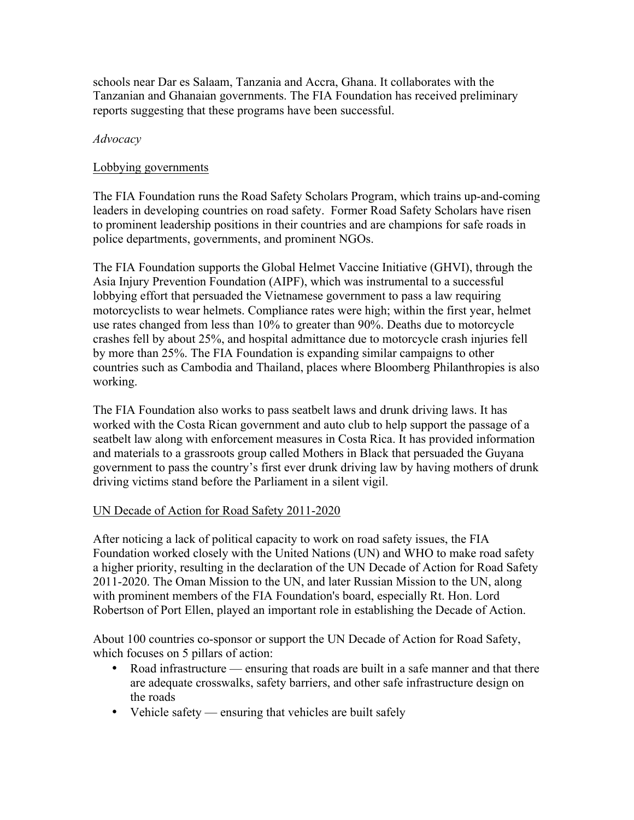schools near Dar es Salaam, Tanzania and Accra, Ghana. It collaborates with the Tanzanian and Ghanaian governments. The FIA Foundation has received preliminary reports suggesting that these programs have been successful.

#### *Advocacy*

#### Lobbying governments

The FIA Foundation runs the Road Safety Scholars Program, which trains up-and-coming leaders in developing countries on road safety. Former Road Safety Scholars have risen to prominent leadership positions in their countries and are champions for safe roads in police departments, governments, and prominent NGOs.

The FIA Foundation supports the Global Helmet Vaccine Initiative (GHVI), through the Asia Injury Prevention Foundation (AIPF), which was instrumental to a successful lobbying effort that persuaded the Vietnamese government to pass a law requiring motorcyclists to wear helmets. Compliance rates were high; within the first year, helmet use rates changed from less than 10% to greater than 90%. Deaths due to motorcycle crashes fell by about 25%, and hospital admittance due to motorcycle crash injuries fell by more than 25%. The FIA Foundation is expanding similar campaigns to other countries such as Cambodia and Thailand, places where Bloomberg Philanthropies is also working.

The FIA Foundation also works to pass seatbelt laws and drunk driving laws. It has worked with the Costa Rican government and auto club to help support the passage of a seatbelt law along with enforcement measures in Costa Rica. It has provided information and materials to a grassroots group called Mothers in Black that persuaded the Guyana government to pass the country's first ever drunk driving law by having mothers of drunk driving victims stand before the Parliament in a silent vigil.

## UN Decade of Action for Road Safety 2011-2020

After noticing a lack of political capacity to work on road safety issues, the FIA Foundation worked closely with the United Nations (UN) and WHO to make road safety a higher priority, resulting in the declaration of the UN Decade of Action for Road Safety 2011-2020. The Oman Mission to the UN, and later Russian Mission to the UN, along with prominent members of the FIA Foundation's board, especially Rt. Hon. Lord Robertson of Port Ellen, played an important role in establishing the Decade of Action.

About 100 countries co-sponsor or support the UN Decade of Action for Road Safety, which focuses on 5 pillars of action:

- Road infrastructure ensuring that roads are built in a safe manner and that there are adequate crosswalks, safety barriers, and other safe infrastructure design on the roads
- Vehicle safety ensuring that vehicles are built safely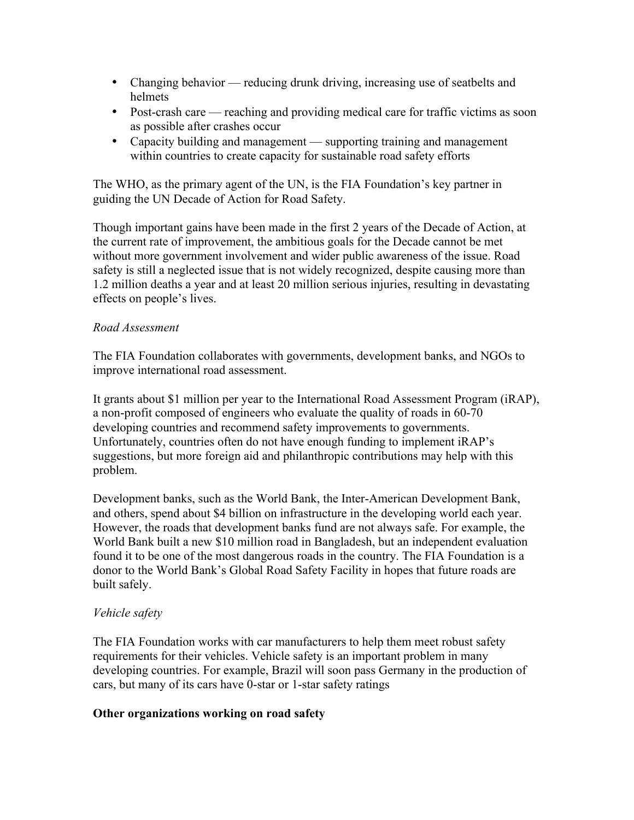- Changing behavior reducing drunk driving, increasing use of seatbelts and helmets
- Post-crash care reaching and providing medical care for traffic victims as soon as possible after crashes occur
- Capacity building and management supporting training and management within countries to create capacity for sustainable road safety efforts

The WHO, as the primary agent of the UN, is the FIA Foundation's key partner in guiding the UN Decade of Action for Road Safety.

Though important gains have been made in the first 2 years of the Decade of Action, at the current rate of improvement, the ambitious goals for the Decade cannot be met without more government involvement and wider public awareness of the issue. Road safety is still a neglected issue that is not widely recognized, despite causing more than 1.2 million deaths a year and at least 20 million serious injuries, resulting in devastating effects on people's lives.

#### *Road Assessment*

The FIA Foundation collaborates with governments, development banks, and NGOs to improve international road assessment.

It grants about \$1 million per year to the International Road Assessment Program (iRAP), a non-profit composed of engineers who evaluate the quality of roads in 60-70 developing countries and recommend safety improvements to governments. Unfortunately, countries often do not have enough funding to implement iRAP's suggestions, but more foreign aid and philanthropic contributions may help with this problem.

Development banks, such as the World Bank, the Inter-American Development Bank, and others, spend about \$4 billion on infrastructure in the developing world each year. However, the roads that development banks fund are not always safe. For example, the World Bank built a new \$10 million road in Bangladesh, but an independent evaluation found it to be one of the most dangerous roads in the country. The FIA Foundation is a donor to the World Bank's Global Road Safety Facility in hopes that future roads are built safely.

#### *Vehicle safety*

The FIA Foundation works with car manufacturers to help them meet robust safety requirements for their vehicles. Vehicle safety is an important problem in many developing countries. For example, Brazil will soon pass Germany in the production of cars, but many of its cars have 0-star or 1-star safety ratings

#### **Other organizations working on road safety**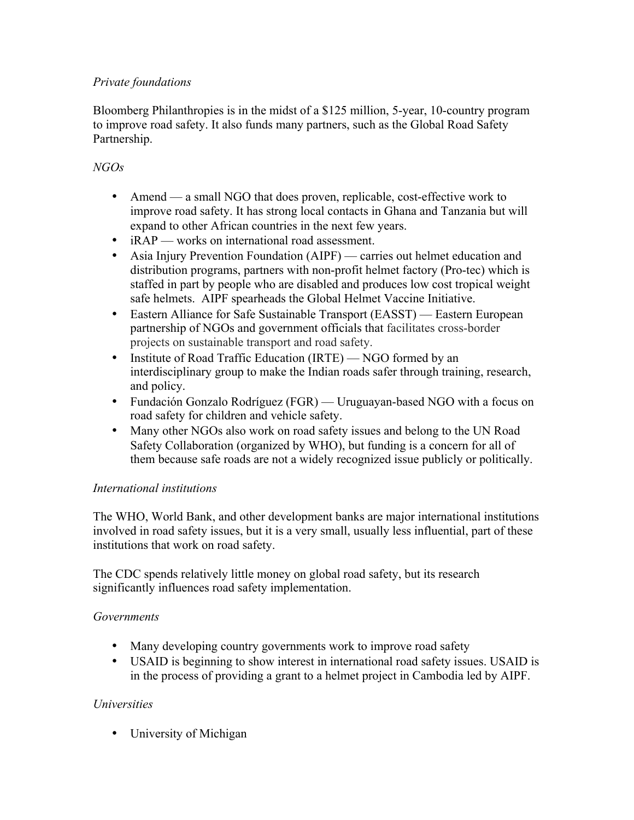## *Private foundations*

Bloomberg Philanthropies is in the midst of a \$125 million, 5-year, 10-country program to improve road safety. It also funds many partners, such as the Global Road Safety Partnership.

## *NGOs*

- Amend a small NGO that does proven, replicable, cost-effective work to improve road safety. It has strong local contacts in Ghana and Tanzania but will expand to other African countries in the next few years.
- iRAP works on international road assessment.
- Asia Injury Prevention Foundation (AIPF) carries out helmet education and distribution programs, partners with non-profit helmet factory (Pro-tec) which is staffed in part by people who are disabled and produces low cost tropical weight safe helmets. AIPF spearheads the Global Helmet Vaccine Initiative.
- Eastern Alliance for Safe Sustainable Transport (EASST) Eastern European partnership of NGOs and government officials that facilitates cross-border projects on sustainable transport and road safety.
- Institute of Road Traffic Education (IRTE) NGO formed by an interdisciplinary group to make the Indian roads safer through training, research, and policy.
- Fundación Gonzalo Rodríguez (FGR) Uruguayan-based NGO with a focus on road safety for children and vehicle safety.
- Many other NGOs also work on road safety issues and belong to the UN Road Safety Collaboration (organized by WHO), but funding is a concern for all of them because safe roads are not a widely recognized issue publicly or politically.

## *International institutions*

The WHO, World Bank, and other development banks are major international institutions involved in road safety issues, but it is a very small, usually less influential, part of these institutions that work on road safety.

The CDC spends relatively little money on global road safety, but its research significantly influences road safety implementation.

## *Governments*

- Many developing country governments work to improve road safety
- USAID is beginning to show interest in international road safety issues. USAID is in the process of providing a grant to a helmet project in Cambodia led by AIPF.

## *Universities*

• University of Michigan